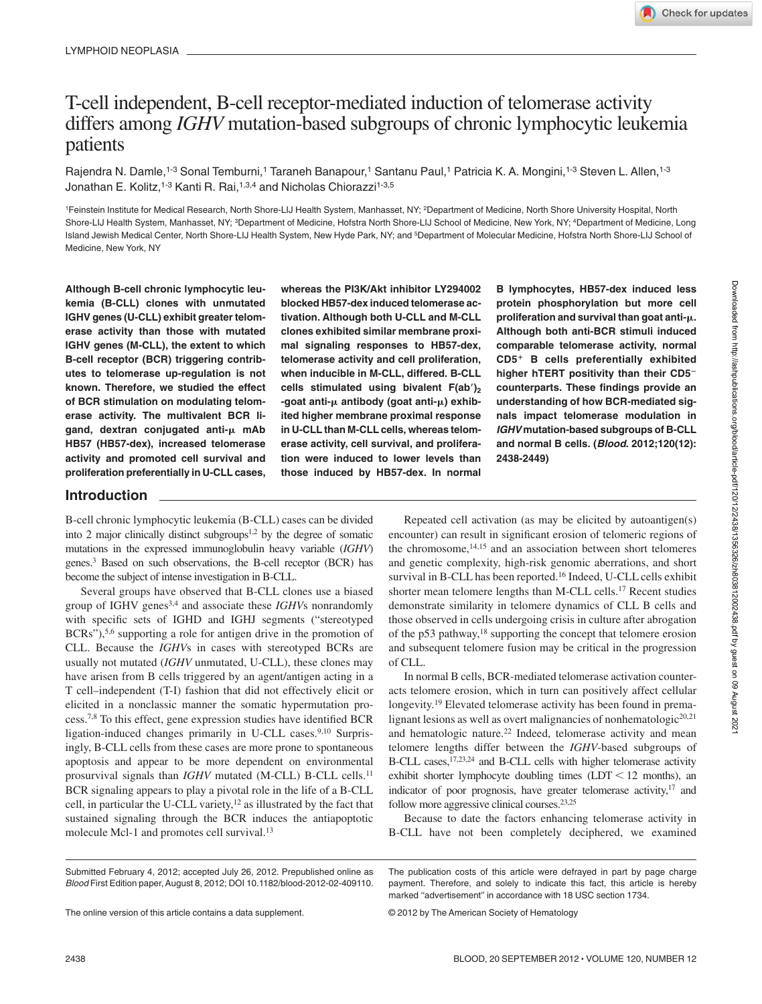# T-cell independent, B-cell receptor-mediated induction of telomerase activity differs among *IGHV* mutation-based subgroups of chronic lymphocytic leukemia patients

Rajendra N. Damle,<sup>1-3</sup> Sonal Temburni,<sup>1</sup> Taraneh Banapour,<sup>1</sup> Santanu Paul,<sup>1</sup> Patricia K. A. Mongini,<sup>1-3</sup> Steven L. Allen,<sup>1-3</sup> Jonathan E. Kolitz,<sup>1-3</sup> Kanti R. Rai,<sup>1,3,4</sup> and Nicholas Chiorazzi<sup>1-3,5</sup>

<sup>1</sup>Feinstein Institute for Medical Research, North Shore-LIJ Health System, Manhasset, NY; <sup>2</sup>Department of Medicine, North Shore University Hospital, North Shore-LIJ Health System, Manhasset, NY; <sup>3</sup>Department of Medicine, Hofstra North Shore-LIJ School of Medicine, New York, NY; <sup>4</sup>Department of Medicine, Long Island Jewish Medical Center, North Shore-LIJ Health System, New Hyde Park, NY; and <sup>5</sup>Department of Molecular Medicine, Hofstra North Shore-LIJ School of Medicine, New York, NY

**Although B-cell chronic lymphocytic leukemia (B-CLL) clones with unmutated IGHV genes (U-CLL) exhibit greater telomerase activity than those with mutated IGHV genes (M-CLL), the extent to which B-cell receptor (BCR) triggering contributes to telomerase up-regulation is not known. Therefore, we studied the effect of BCR stimulation on modulating telomerase activity. The multivalent BCR li**gand, dextran conjugated anti- $\mu$  mAb **HB57 (HB57-dex), increased telomerase activity and promoted cell survival and proliferation preferentially in U-CLL cases,**

### **whereas the PI3K/Akt inhibitor LY294002 blocked HB57-dex induced telomerase activation. Although both U-CLL and M-CLL clones exhibited similar membrane proximal signaling responses to HB57-dex, telomerase activity and cell proliferation, when inducible in M-CLL, differed. B-CLL cells stimulated using bivalent F(ab)<sup>2</sup>** -goat anti- $\mu$  antibody (goat anti- $\mu$ ) exhib**ited higher membrane proximal response in U-CLL than M-CLL cells, whereas telomerase activity, cell survival, and proliferation were induced to lower levels than those induced by HB57-dex. In normal**

**B lymphocytes, HB57-dex induced less protein phosphorylation but more cell proliferation and survival than goat anti-. Although both anti-BCR stimuli induced comparable telomerase activity, normal CD5**- **B cells preferentially exhibited higher hTERT positivity than their CD5 counterparts. These findings provide an understanding of how BCR-mediated signals impact telomerase modulation in IGHV mutation-based subgroups of B-CLL and normal B cells. (Blood. 2012;120(12): 2438-2449)**

# **Introduction**

B-cell chronic lymphocytic leukemia (B-CLL) cases can be divided into 2 major clinically distinct subgroups<sup>1,2</sup> by the degree of somatic mutations in the expressed immunoglobulin heavy variable (*IGHV*) genes.<sup>3</sup> Based on such observations, the B-cell receptor (BCR) has become the subject of intense investigation in B-CLL.

Several groups have observed that B-CLL clones use a biased group of IGHV genes3,4 and associate these *IGHV*s nonrandomly with specific sets of IGHD and IGHJ segments ("stereotyped BCRs"),<sup>5,6</sup> supporting a role for antigen drive in the promotion of CLL. Because the *IGHV*s in cases with stereotyped BCRs are usually not mutated (*IGHV* unmutated, U-CLL), these clones may have arisen from B cells triggered by an agent/antigen acting in a T cell–independent (T-I) fashion that did not effectively elicit or elicited in a nonclassic manner the somatic hypermutation process.7,8 To this effect, gene expression studies have identified BCR ligation-induced changes primarily in U-CLL cases.9,10 Surprisingly, B-CLL cells from these cases are more prone to spontaneous apoptosis and appear to be more dependent on environmental prosurvival signals than *IGHV* mutated (M-CLL) B-CLL cells.<sup>11</sup> BCR signaling appears to play a pivotal role in the life of a B-CLL cell, in particular the U-CLL variety,<sup>12</sup> as illustrated by the fact that sustained signaling through the BCR induces the antiapoptotic molecule Mcl-1 and promotes cell survival.<sup>13</sup>

Repeated cell activation (as may be elicited by autoantigen(s) encounter) can result in significant erosion of telomeric regions of the chromosome,14,15 and an association between short telomeres and genetic complexity, high-risk genomic aberrations, and short survival in B-CLL has been reported.<sup>16</sup> Indeed, U-CLL cells exhibit shorter mean telomere lengths than M-CLL cells.<sup>17</sup> Recent studies demonstrate similarity in telomere dynamics of CLL B cells and those observed in cells undergoing crisis in culture after abrogation of the p53 pathway,<sup>18</sup> supporting the concept that telomere erosion and subsequent telomere fusion may be critical in the progression of CLL.

In normal B cells, BCR-mediated telomerase activation counteracts telomere erosion, which in turn can positively affect cellular longevity.<sup>19</sup> Elevated telomerase activity has been found in premalignant lesions as well as overt malignancies of nonhematologic $20,21$ and hematologic nature.<sup>22</sup> Indeed, telomerase activity and mean telomere lengths differ between the *IGHV*-based subgroups of B-CLL cases,<sup>17,23,24</sup> and B-CLL cells with higher telomerase activity exhibit shorter lymphocyte doubling times  $(LDT < 12$  months), an indicator of poor prognosis, have greater telomerase activity, $17$  and follow more aggressive clinical courses.23,25

Because to date the factors enhancing telomerase activity in B-CLL have not been completely deciphered, we examined

The publication costs of this article were defrayed in part by page charge payment. Therefore, and solely to indicate this fact, this article is hereby marked "advertisement" in accordance with 18 USC section 1734.

© 2012 by The American Society of Hematology

Submitted February 4, 2012; accepted July 26, 2012. Prepublished online as Blood First Edition paper, August 8, 2012; DOI 10.1182/blood-2012-02-409110.

The online version of this article contains a data supplement.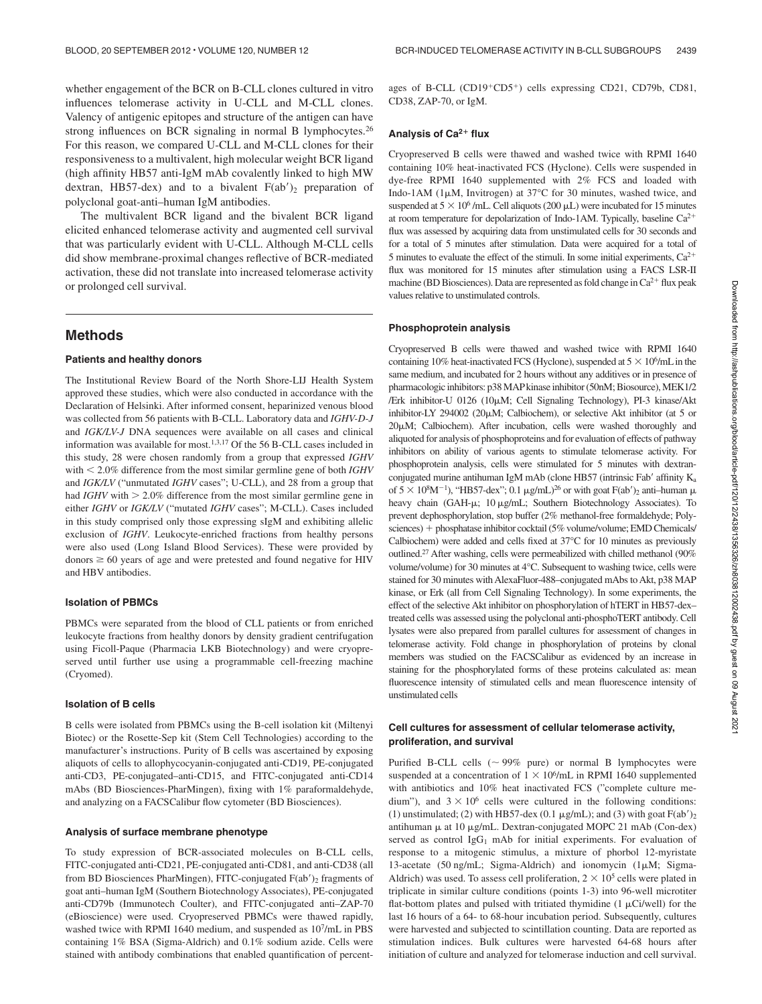whether engagement of the BCR on B-CLL clones cultured in vitro influences telomerase activity in U-CLL and M-CLL clones. Valency of antigenic epitopes and structure of the antigen can have strong influences on BCR signaling in normal B lymphocytes.<sup>26</sup> For this reason, we compared U-CLL and M-CLL clones for their responsiveness to a multivalent, high molecular weight BCR ligand (high affinity HB57 anti-IgM mAb covalently linked to high MW dextran, HB57-dex) and to a bivalent  $F(ab')_2$  preparation of polyclonal goat-anti–human IgM antibodies.

The multivalent BCR ligand and the bivalent BCR ligand elicited enhanced telomerase activity and augmented cell survival that was particularly evident with U-CLL. Although M-CLL cells did show membrane-proximal changes reflective of BCR-mediated activation, these did not translate into increased telomerase activity or prolonged cell survival.

### **Methods**

#### **Patients and healthy donors**

The Institutional Review Board of the North Shore-LIJ Health System approved these studies, which were also conducted in accordance with the Declaration of Helsinki. After informed consent, heparinized venous blood was collected from 56 patients with B-CLL. Laboratory data and *IGHV-D-J* and *IGK/LV-J* DNA sequences were available on all cases and clinical information was available for most.1,3,17 Of the 56 B-CLL cases included in this study, 28 were chosen randomly from a group that expressed *IGHV* with 2.0% difference from the most similar germline gene of both *IGHV* and *IGK/LV* ("unmutated *IGHV* cases"; U-CLL), and 28 from a group that had *IGHV* with  $> 2.0\%$  difference from the most similar germline gene in either *IGHV* or *IGK/LV* ("mutated *IGHV* cases"; M-CLL). Cases included in this study comprised only those expressing sIgM and exhibiting allelic exclusion of *IGHV*. Leukocyte-enriched fractions from healthy persons were also used (Long Island Blood Services). These were provided by donors  $\geq 60$  years of age and were pretested and found negative for HIV and HBV antibodies.

#### **Isolation of PBMCs**

PBMCs were separated from the blood of CLL patients or from enriched leukocyte fractions from healthy donors by density gradient centrifugation using Ficoll-Paque (Pharmacia LKB Biotechnology) and were cryopreserved until further use using a programmable cell-freezing machine (Cryomed).

### **Isolation of B cells**

B cells were isolated from PBMCs using the B-cell isolation kit (Miltenyi Biotec) or the Rosette-Sep kit (Stem Cell Technologies) according to the manufacturer's instructions. Purity of B cells was ascertained by exposing aliquots of cells to allophycocyanin-conjugated anti-CD19, PE-conjugated anti-CD3, PE-conjugated–anti-CD15, and FITC-conjugated anti-CD14 mAbs (BD Biosciences-PharMingen), fixing with 1% paraformaldehyde, and analyzing on a FACSCalibur flow cytometer (BD Biosciences).

#### **Analysis of surface membrane phenotype**

To study expression of BCR-associated molecules on B-CLL cells, FITC-conjugated anti-CD21, PE-conjugated anti-CD81, and anti-CD38 (all from BD Biosciences PharMingen), FITC-conjugated F(ab')<sub>2</sub> fragments of goat anti–human IgM (Southern Biotechnology Associates), PE-conjugated anti-CD79b (Immunotech Coulter), and FITC-conjugated anti–ZAP-70 (eBioscience) were used. Cryopreserved PBMCs were thawed rapidly, washed twice with RPMI 1640 medium, and suspended as 107/mL in PBS containing 1% BSA (Sigma-Aldrich) and 0.1% sodium azide. Cells were stained with antibody combinations that enabled quantification of percent-

ages of B-CLL (CD19<sup>+</sup>CD5<sup>+</sup>) cells expressing CD21, CD79b, CD81, CD38, ZAP-70, or IgM.

#### **Analysis of Ca2**- **flux**

Cryopreserved B cells were thawed and washed twice with RPMI 1640 containing 10% heat-inactivated FCS (Hyclone). Cells were suspended in dye-free RPMI 1640 supplemented with 2% FCS and loaded with Indo-1AM (1 $\mu$ M, Invitrogen) at 37°C for 30 minutes, washed twice, and suspended at  $5 \times 10^6$  /mL. Cell aliquots (200  $\mu$ L) were incubated for 15 minutes at room temperature for depolarization of Indo-1AM. Typically, baseline  $Ca^{2+}$ flux was assessed by acquiring data from unstimulated cells for 30 seconds and for a total of 5 minutes after stimulation. Data were acquired for a total of 5 minutes to evaluate the effect of the stimuli. In some initial experiments,  $Ca^{2+}$ flux was monitored for 15 minutes after stimulation using a FACS LSR-II machine (BD Biosciences). Data are represented as fold change in  $Ca^{2+}$  flux peak values relative to unstimulated controls.

### **Phosphoprotein analysis**

Cryopreserved B cells were thawed and washed twice with RPMI 1640 containing 10% heat-inactivated FCS (Hyclone), suspended at  $5 \times 10^6$ /mL in the same medium, and incubated for 2 hours without any additives or in presence of pharmacologic inhibitors: p38 MAPkinase inhibitor (50nM; Biosource), MEK1/2 /Erk inhibitor-U 0126 (10M; Cell Signaling Technology), PI-3 kinase/Akt inhibitor-LY 294002 (20µM; Calbiochem), or selective Akt inhibitor (at 5 or 20M; Calbiochem). After incubation, cells were washed thoroughly and aliquoted for analysis of phosphoproteins and for evaluation of effects of pathway inhibitors on ability of various agents to stimulate telomerase activity. For phosphoprotein analysis, cells were stimulated for 5 minutes with dextranconjugated murine antihuman IgM mAb (clone HB57 (intrinsic Fab' affinity K<sub>a</sub> of  $5 \times 10^8$ M<sup>-1</sup>), "HB57-dex"; 0.1  $\mu$ g/mL)<sup>26</sup> or with goat F(ab')<sub>2</sub> anti-human  $\mu$ heavy chain (GAH- $\mu$ ; 10  $\mu$ g/mL; Southern Biotechnology Associates). To prevent dephosphorylation, stop buffer (2% methanol-free formaldehyde; Polysciences) + phosphatase inhibitor cocktail (5% volume/volume; EMD Chemicals/ Calbiochem) were added and cells fixed at 37°C for 10 minutes as previously outlined.<sup>27</sup> After washing, cells were permeabilized with chilled methanol (90% volume/volume) for 30 minutes at 4°C. Subsequent to washing twice, cells were stained for 30 minutes with AlexaFluor-488–conjugated mAbs to Akt, p38 MAP kinase, or Erk (all from Cell Signaling Technology). In some experiments, the effect of the selective Akt inhibitor on phosphorylation of hTERT in HB57-dex– treated cells was assessed using the polyclonal anti-phosphoTERT antibody. Cell lysates were also prepared from parallel cultures for assessment of changes in telomerase activity. Fold change in phosphorylation of proteins by clonal members was studied on the FACSCalibur as evidenced by an increase in staining for the phosphorylated forms of these proteins calculated as: mean fluorescence intensity of stimulated cells and mean fluorescence intensity of unstimulated cells

### **Cell cultures for assessment of cellular telomerase activity, proliferation, and survival**

Purified B-CLL cells ( $\sim$  99% pure) or normal B lymphocytes were suspended at a concentration of  $1 \times 10^6$ /mL in RPMI 1640 supplemented with antibiotics and 10% heat inactivated FCS ("complete culture medium"), and  $3 \times 10^6$  cells were cultured in the following conditions: (1) unstimulated; (2) with HB57-dex (0.1  $\mu$ g/mL); and (3) with goat F(ab')<sub>2</sub> antihuman  $\mu$  at 10  $\mu$ g/mL. Dextran-conjugated MOPC 21 mAb (Con-dex) served as control Ig $G_1$  mAb for initial experiments. For evaluation of response to a mitogenic stimulus, a mixture of phorbol 12-myristate 13-acetate (50 ng/mL; Sigma-Aldrich) and ionomycin ( $1\mu$ M; Sigma-Aldrich) was used. To assess cell proliferation,  $2 \times 10^5$  cells were plated in triplicate in similar culture conditions (points 1-3) into 96-well microtiter flat-bottom plates and pulsed with tritiated thymidine  $(1 \mu\text{Ci/well})$  for the last 16 hours of a 64- to 68-hour incubation period. Subsequently, cultures were harvested and subjected to scintillation counting. Data are reported as stimulation indices. Bulk cultures were harvested 64-68 hours after initiation of culture and analyzed for telomerase induction and cell survival.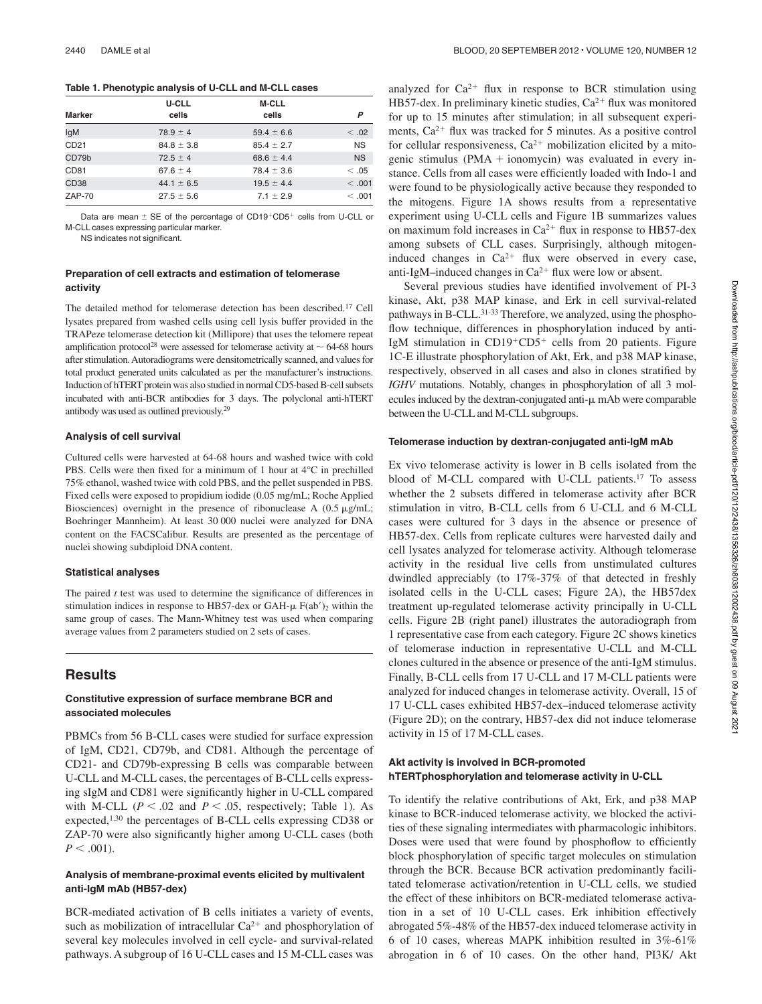2440 DAMLE et al BLOOD, 20 SEPTEMBER 2012 - VOLUME 120, NUMBER 12

**Table 1. Phenotypic analysis of U-CLL and M-CLL cases**

| <b>Marker</b>    | <b>U-CLL</b><br>cells | <b>M-CLL</b><br>cells | P         |
|------------------|-----------------------|-----------------------|-----------|
| lgM              | $78.9 \pm 4$          | $59.4 \pm 6.6$        | < 0.02    |
| CD21             | $84.8 \pm 3.8$        | $85.4 \pm 2.7$        | <b>NS</b> |
| CD79b            | $72.5 \pm 4$          | $68.6 \pm 4.4$        | <b>NS</b> |
| CD <sub>81</sub> | $67.6 \pm 4$          | $78.4 \pm 3.6$        | < 0.05    |
| CD <sub>38</sub> | $44.1 \pm 6.5$        | $19.5 \pm 4.4$        | < 0.001   |
| ZAP-70           | $27.5 \pm 5.6$        | $7.1 \pm 2.9$         | < 0.001   |

Data are mean  $\pm$  SE of the percentage of CD19+CD5+ cells from U-CLL or M-CLL cases expressing particular marker.

NS indicates not significant.

### **Preparation of cell extracts and estimation of telomerase activity**

The detailed method for telomerase detection has been described.<sup>17</sup> Cell lysates prepared from washed cells using cell lysis buffer provided in the TRAPeze telomerase detection kit (Millipore) that uses the telomere repeat amplification protocol<sup>28</sup> were assessed for telomerase activity at  $\sim 64-68$  hours after stimulation.Autoradiograms were densitometrically scanned, and values for total product generated units calculated as per the manufacturer's instructions. Induction of hTERT protein was also studied in normal CD5-based B-cell subsets incubated with anti-BCR antibodies for 3 days. The polyclonal anti-hTERT antibody was used as outlined previously.<sup>29</sup>

### **Analysis of cell survival**

Cultured cells were harvested at 64-68 hours and washed twice with cold PBS. Cells were then fixed for a minimum of 1 hour at 4°C in prechilled 75% ethanol, washed twice with cold PBS, and the pellet suspended in PBS. Fixed cells were exposed to propidium iodide (0.05 mg/mL; Roche Applied Biosciences) overnight in the presence of ribonuclease A  $(0.5 \mu g/mL)$ ; Boehringer Mannheim). At least 30 000 nuclei were analyzed for DNA content on the FACSCalibur. Results are presented as the percentage of nuclei showing subdiploid DNA content.

#### **Statistical analyses**

The paired *t* test was used to determine the significance of differences in stimulation indices in response to HB57-dex or GAH- $\mu$  F(ab')<sub>2</sub> within the same group of cases. The Mann-Whitney test was used when comparing average values from 2 parameters studied on 2 sets of cases.

### **Results**

### **Constitutive expression of surface membrane BCR and associated molecules**

PBMCs from 56 B-CLL cases were studied for surface expression of IgM, CD21, CD79b, and CD81. Although the percentage of CD21- and CD79b-expressing B cells was comparable between U-CLL and M-CLL cases, the percentages of B-CLL cells expressing sIgM and CD81 were significantly higher in U-CLL compared with M-CLL ( $P < .02$  and  $P < .05$ , respectively; Table 1). As expected,<sup>1,30</sup> the percentages of B-CLL cells expressing CD38 or ZAP-70 were also significantly higher among U-CLL cases (both  $P < .001$ ).

### **Analysis of membrane-proximal events elicited by multivalent anti-IgM mAb (HB57-dex)**

BCR-mediated activation of B cells initiates a variety of events, such as mobilization of intracellular  $Ca^{2+}$  and phosphorylation of several key molecules involved in cell cycle- and survival-related pathways. A subgroup of 16 U-CLL cases and 15 M-CLL cases was analyzed for  $Ca^{2+}$  flux in response to BCR stimulation using HB57-dex. In preliminary kinetic studies,  $Ca^{2+}$  flux was monitored for up to 15 minutes after stimulation; in all subsequent experiments,  $Ca^{2+}$  flux was tracked for 5 minutes. As a positive control for cellular responsiveness,  $Ca^{2+}$  mobilization elicited by a mitogenic stimulus (PMA  $+$  ionomycin) was evaluated in every instance. Cells from all cases were efficiently loaded with Indo-1 and were found to be physiologically active because they responded to the mitogens. Figure 1A shows results from a representative experiment using U-CLL cells and Figure 1B summarizes values on maximum fold increases in  $Ca^{2+}$  flux in response to HB57-dex among subsets of CLL cases. Surprisingly, although mitogeninduced changes in  $Ca^{2+}$  flux were observed in every case, anti-IgM–induced changes in  $Ca^{2+}$  flux were low or absent.

Several previous studies have identified involvement of PI-3 kinase, Akt, p38 MAP kinase, and Erk in cell survival-related pathways in B-CLL.31-33 Therefore, we analyzed, using the phosphoflow technique, differences in phosphorylation induced by anti-IgM stimulation in  $CD19+CD5+$  cells from 20 patients. Figure 1C-E illustrate phosphorylation of Akt, Erk, and p38 MAP kinase, respectively, observed in all cases and also in clones stratified by *IGHV* mutations. Notably, changes in phosphorylation of all 3 molecules induced by the dextran-conjugated anti- $\mu$  mAb were comparable between the U-CLL and M-CLL subgroups.

### **Telomerase induction by dextran-conjugated anti-IgM mAb**

Ex vivo telomerase activity is lower in B cells isolated from the blood of M-CLL compared with U-CLL patients.<sup>17</sup> To assess whether the 2 subsets differed in telomerase activity after BCR stimulation in vitro, B-CLL cells from 6 U-CLL and 6 M-CLL cases were cultured for 3 days in the absence or presence of HB57-dex. Cells from replicate cultures were harvested daily and cell lysates analyzed for telomerase activity. Although telomerase activity in the residual live cells from unstimulated cultures dwindled appreciably (to 17%-37% of that detected in freshly isolated cells in the U-CLL cases; Figure 2A), the HB57dex treatment up-regulated telomerase activity principally in U-CLL cells. Figure 2B (right panel) illustrates the autoradiograph from 1 representative case from each category. Figure 2C shows kinetics of telomerase induction in representative U-CLL and M-CLL clones cultured in the absence or presence of the anti-IgM stimulus. Finally, B-CLL cells from 17 U-CLL and 17 M-CLL patients were analyzed for induced changes in telomerase activity. Overall, 15 of 17 U-CLL cases exhibited HB57-dex–induced telomerase activity (Figure 2D); on the contrary, HB57-dex did not induce telomerase activity in 15 of 17 M-CLL cases.

### **Akt activity is involved in BCR-promoted hTERTphosphorylation and telomerase activity in U-CLL**

To identify the relative contributions of Akt, Erk, and p38 MAP kinase to BCR-induced telomerase activity, we blocked the activities of these signaling intermediates with pharmacologic inhibitors. Doses were used that were found by phosphoflow to efficiently block phosphorylation of specific target molecules on stimulation through the BCR. Because BCR activation predominantly facilitated telomerase activation/retention in U-CLL cells, we studied the effect of these inhibitors on BCR-mediated telomerase activation in a set of 10 U-CLL cases. Erk inhibition effectively abrogated 5%-48% of the HB57-dex induced telomerase activity in 6 of 10 cases, whereas MAPK inhibition resulted in 3%-61% abrogation in 6 of 10 cases. On the other hand, PI3K/ Akt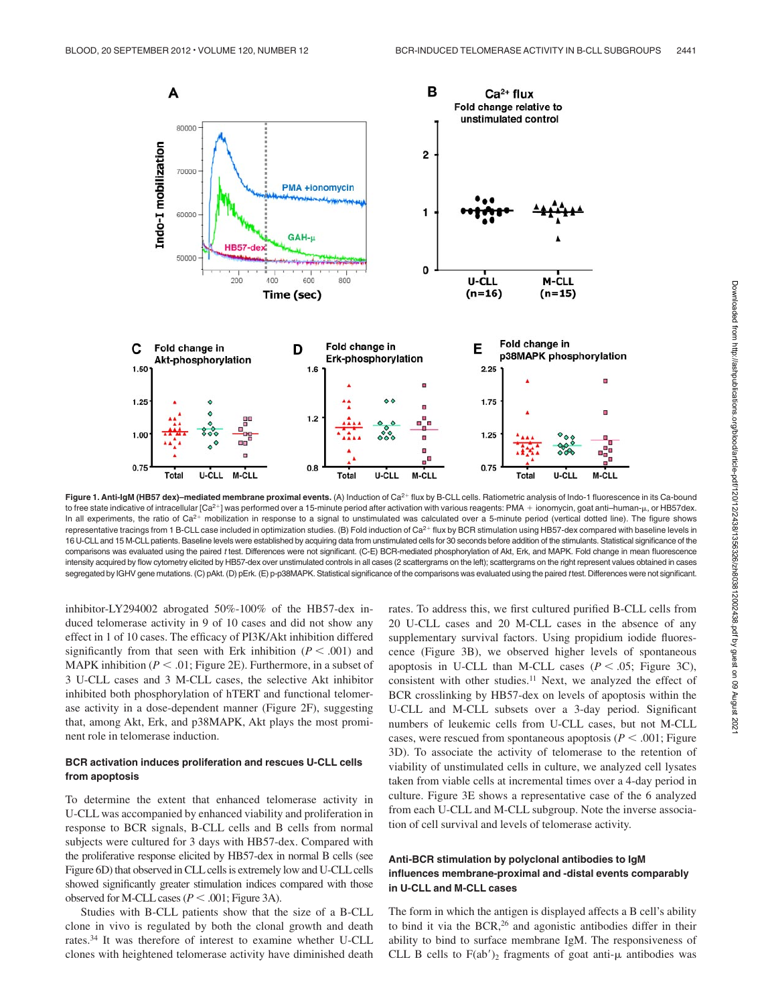

Figure 1. Anti-IgM (HB57 dex)-mediated membrane proximal events. (A) Induction of Ca<sup>2+</sup> flux by B-CLL cells. Ratiometric analysis of Indo-1 fluorescence in its Ca-bound to free state indicative of intracellular [Ca<sup>2+</sup>] was performed over a 15-minute period after activation with various reagents: PMA + ionomycin, goat anti-human-µ, or HB57dex. In all experiments, the ratio of  $Ca<sup>2+</sup>$  mobilization in response to a signal to unstimulated was calculated over a 5-minute period (vertical dotted line). The figure shows representative tracings from 1 B-CLL case included in optimization studies. (B) Fold induction of Ca<sup>2+</sup> flux by BCR stimulation using HB57-dex compared with baseline levels in 16 U-CLL and 15 M-CLL patients. Baseline levels were established by acquiring data from unstimulated cells for 30 seconds before addition of the stimulants. Statistical significance of the comparisons was evaluated using the paired <sup>t</sup> test. Differences were not significant. (C-E) BCR-mediated phosphorylation of Akt, Erk, and MAPK. Fold change in mean fluorescence intensity acquired by flow cytometry elicited by HB57-dex over unstimulated controls in all cases (2 scattergrams on the left); scattergrams on the right represent values obtained in cases segregated by IGHV gene mutations. (C) pAkt. (D) pErk. (E) p-p38MAPK. Statistical significance of the comparisons was evaluated using the paired rtest. Differences were not significant.

inhibitor-LY294002 abrogated 50%-100% of the HB57-dex induced telomerase activity in 9 of 10 cases and did not show any effect in 1 of 10 cases. The efficacy of PI3K/Akt inhibition differed significantly from that seen with Erk inhibition  $(P < .001)$  and MAPK inhibition ( $P < .01$ ; Figure 2E). Furthermore, in a subset of 3 U-CLL cases and 3 M-CLL cases, the selective Akt inhibitor inhibited both phosphorylation of hTERT and functional telomerase activity in a dose-dependent manner (Figure 2F), suggesting that, among Akt, Erk, and p38MAPK, Akt plays the most prominent role in telomerase induction.

### **BCR activation induces proliferation and rescues U-CLL cells from apoptosis**

To determine the extent that enhanced telomerase activity in U-CLL was accompanied by enhanced viability and proliferation in response to BCR signals, B-CLL cells and B cells from normal subjects were cultured for 3 days with HB57-dex. Compared with the proliferative response elicited by HB57-dex in normal B cells (see Figure 6D) that observed in CLL cells is extremely low and U-CLL cells showed significantly greater stimulation indices compared with those observed for M-CLL cases  $(P < .001;$  Figure 3A).

Studies with B-CLL patients show that the size of a B-CLL clone in vivo is regulated by both the clonal growth and death rates.<sup>34</sup> It was therefore of interest to examine whether U-CLL clones with heightened telomerase activity have diminished death rates. To address this, we first cultured purified B-CLL cells from 20 U-CLL cases and 20 M-CLL cases in the absence of any supplementary survival factors. Using propidium iodide fluorescence (Figure 3B), we observed higher levels of spontaneous apoptosis in U-CLL than M-CLL cases  $(P < .05;$  Figure 3C), consistent with other studies.<sup>11</sup> Next, we analyzed the effect of BCR crosslinking by HB57-dex on levels of apoptosis within the U-CLL and M-CLL subsets over a 3-day period. Significant numbers of leukemic cells from U-CLL cases, but not M-CLL cases, were rescued from spontaneous apoptosis ( $P < .001$ ; Figure 3D). To associate the activity of telomerase to the retention of viability of unstimulated cells in culture, we analyzed cell lysates taken from viable cells at incremental times over a 4-day period in culture. Figure 3E shows a representative case of the 6 analyzed from each U-CLL and M-CLL subgroup. Note the inverse association of cell survival and levels of telomerase activity.

### **Anti-BCR stimulation by polyclonal antibodies to IgM influences membrane-proximal and -distal events comparably in U-CLL and M-CLL cases**

The form in which the antigen is displayed affects a B cell's ability to bind it via the BCR,<sup>26</sup> and agonistic antibodies differ in their ability to bind to surface membrane IgM. The responsiveness of CLL B cells to  $F(ab')_2$  fragments of goat anti- $\mu$  antibodies was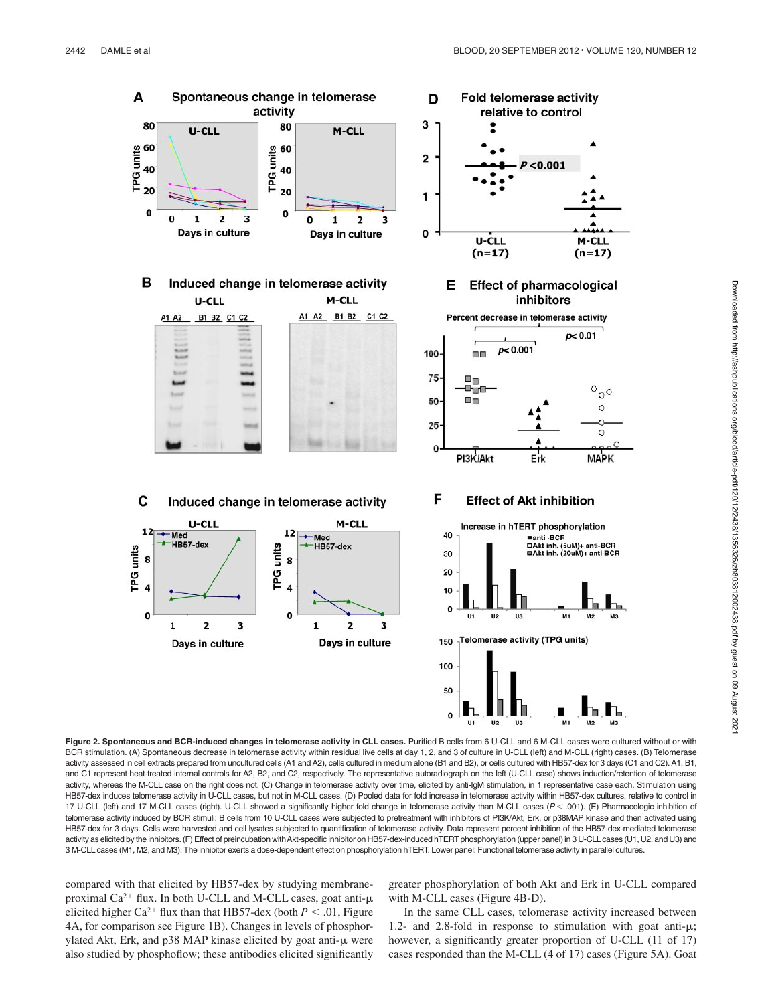

Figure 2. Spontaneous and BCR-induced changes in telomerase activity in CLL cases. Purified B cells from 6 U-CLL and 6 M-CLL cases were cultured without or with BCR stimulation. (A) Spontaneous decrease in telomerase activity within residual live cells at day 1, 2, and 3 of culture in U-CLL (left) and M-CLL (right) cases. (B) Telomerase activity assessed in cell extracts prepared from uncultured cells (A1 and A2), cells cultured in medium alone (B1 and B2), or cells cultured with HB57-dex for 3 days (C1 and C2). A1, B1, and C1 represent heat-treated internal controls for A2, B2, and C2, respectively. The representative autoradiograph on the left (U-CLL case) shows induction/retention of telomerase activity, whereas the M-CLL case on the right does not. (C) Change in telomerase activity over time, elicited by anti-IgM stimulation, in 1 representative case each. Stimulation using HB57-dex induces telomerase activity in U-CLL cases, but not in M-CLL cases. (D) Pooled data for fold increase in telomerase activity within HB57-dex cultures, relative to control in 17 U-CLL (left) and 17 M-CLL cases (right). U-CLL showed a significantly higher fold change in telomerase activity than M-CLL cases (P < .001). (E) Pharmacologic inhibition of telomerase activity induced by BCR stimuli: B cells from 10 U-CLL cases were subjected to pretreatment with inhibitors of PI3K/Akt, Erk, or p38MAP kinase and then activated using HB57-dex for 3 days. Cells were harvested and cell lysates subjected to quantification of telomerase activity. Data represent percent inhibition of the HB57-dex-mediated telomerase activity as elicited by the inhibitors. (F) Effect of preincubation with Akt-specific inhibitor on HB57-dex-induced hTERT phosphorylation (upper panel) in 3 U-CLL cases (U1, U2, and U3) and 3 M-CLL cases (M1, M2, and M3). The inhibitor exerts a dose-dependent effect on phosphorylation hTERT. Lower panel: Functional telomerase activity in parallel cultures.

compared with that elicited by HB57-dex by studying membraneproximal Ca<sup>2+</sup> flux. In both U-CLL and M-CLL cases, goat anti- $\mu$ elicited higher Ca<sup>2+</sup> flux than that HB57-dex (both  $P < .01$ , Figure 4A, for comparison see Figure 1B). Changes in levels of phosphorylated Akt, Erk, and  $p38$  MAP kinase elicited by goat anti- $\mu$  were also studied by phosphoflow; these antibodies elicited significantly

greater phosphorylation of both Akt and Erk in U-CLL compared with M-CLL cases (Figure 4B-D).

In the same CLL cases, telomerase activity increased between 1.2- and 2.8-fold in response to stimulation with goat anti- $\mu$ ; however, a significantly greater proportion of U-CLL (11 of 17) cases responded than the M-CLL (4 of 17) cases (Figure 5A). Goat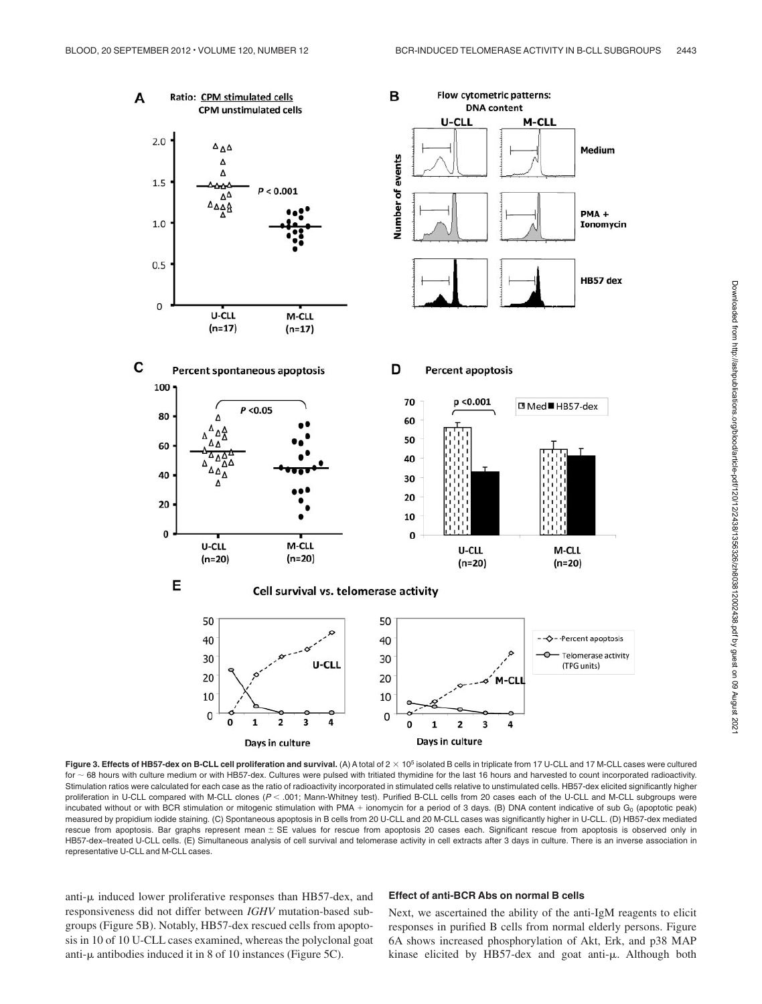

**Figure 3. Effects of HB57-dex on B-CLL cell proliferation and survival.** (A) A total of 2  $\times$  10<sup>5</sup> isolated B cells in triplicate from 17 U-CLL and 17 M-CLL cases were cultured for  $\sim$  68 hours with culture medium or with HB57-dex. Cultures were pulsed with tritiated thymidine for the last 16 hours and harvested to count incorporated radioactivity. Stimulation ratios were calculated for each case as the ratio of radioactivity incorporated in stimulated cells relative to unstimulated cells. HB57-dex elicited significantly higher proliferation in U-CLL compared with M-CLL clones  $(P < .001;$  Mann-Whitney test). Purified B-CLL cells from 20 cases each of the U-CLL and M-CLL subgroups were incubated without or with BCR stimulation or mitogenic stimulation with PMA + ionomycin for a period of 3 days. (B) DNA content indicative of sub G<sub>0</sub> (apoptotic peak) measured by propidium iodide staining. (C) Spontaneous apoptosis in B cells from 20 U-CLL and 20 M-CLL cases was significantly higher in U-CLL. (D) HB57-dex mediated rescue from apoptosis. Bar graphs represent mean  $\pm$  SE values for rescue from apoptosis 20 cases each. Significant rescue from apoptosis is observed only in HB57-dex–treated U-CLL cells. (E) Simultaneous analysis of cell survival and telomerase activity in cell extracts after 3 days in culture. There is an inverse association in representative U-CLL and M-CLL cases.

anti- $\mu$  induced lower proliferative responses than HB57-dex, and responsiveness did not differ between *IGHV* mutation-based subgroups (Figure 5B). Notably, HB57-dex rescued cells from apoptosis in 10 of 10 U-CLL cases examined, whereas the polyclonal goat anti- $\mu$  antibodies induced it in 8 of 10 instances (Figure 5C).

### **Effect of anti-BCR Abs on normal B cells**

Next, we ascertained the ability of the anti-IgM reagents to elicit responses in purified B cells from normal elderly persons. Figure 6A shows increased phosphorylation of Akt, Erk, and p38 MAP kinase elicited by HB57-dex and goat anti- $\mu$ . Although both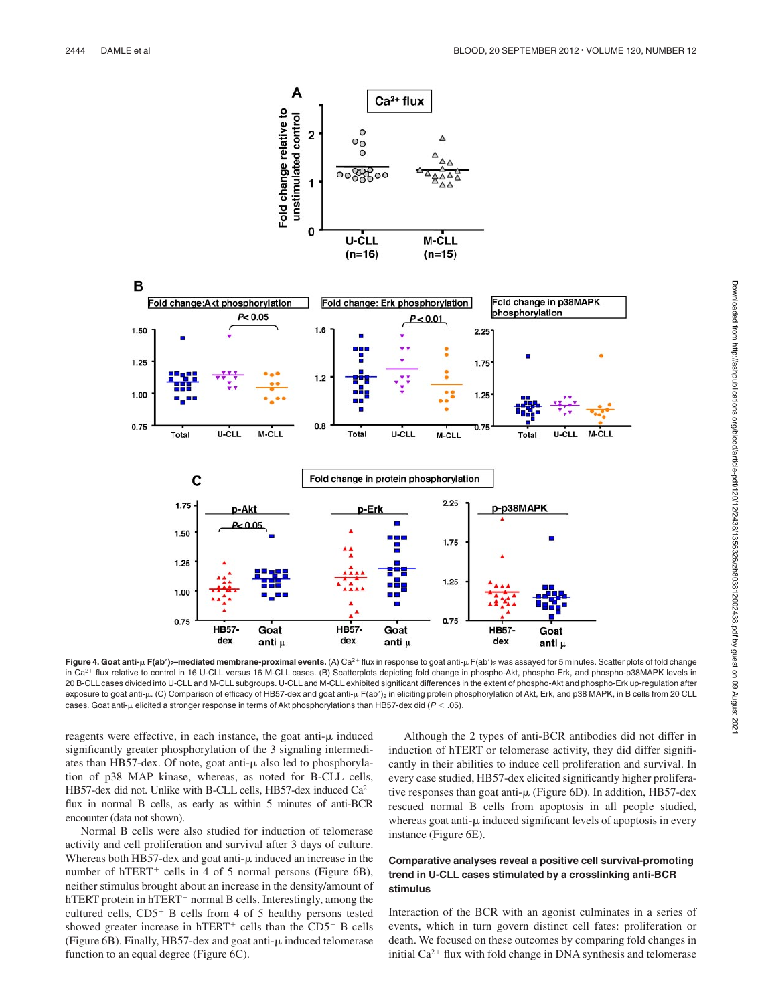

Figure 4. Goat anti-µ F(ab')<sub>2</sub>-mediated membrane-proximal events. (A) Ca<sup>2+</sup> flux in response to goat anti-µ F(ab')<sub>2</sub> was assayed for 5 minutes. Scatter plots of fold change in Ca<sup>2+</sup> flux relative to control in 16 U-CLL versus 16 M-CLL cases. (B) Scatterplots depicting fold change in phospho-Akt, phospho-Erk, and phospho-p38MAPK levels in 20 B-CLL cases divided into U-CLL and M-CLL subgroups. U-CLL and M-CLL exhibited significant differences in the extent of phospho-Akt and phospho-Erk up-regulation after exposure to goat anti-µ. (C) Comparison of efficacy of HB57-dex and goat anti-µ F(ab′)<sub>2</sub> in eliciting protein phosphorylation of Akt, Erk, and p38 MAPK, in B cells from 20 CLL cases. Goat anti- $\mu$  elicited a stronger response in terms of Akt phosphorylations than HB57-dex did ( $P < .05$ ).

reagents were effective, in each instance, the goat anti- $\mu$  induced significantly greater phosphorylation of the 3 signaling intermediates than HB57-dex. Of note, goat anti- $\mu$  also led to phosphorylation of p38 MAP kinase, whereas, as noted for B-CLL cells, HB57-dex did not. Unlike with B-CLL cells, HB57-dex induced Ca<sup>2+</sup> flux in normal B cells, as early as within 5 minutes of anti-BCR encounter (data not shown).

Normal B cells were also studied for induction of telomerase activity and cell proliferation and survival after 3 days of culture. Whereas both HB57-dex and goat anti- $\mu$  induced an increase in the number of hTERT<sup>+</sup> cells in 4 of 5 normal persons (Figure  $6B$ ), neither stimulus brought about an increase in the density/amount of hTERT protein in hTERT<sup>+</sup> normal B cells. Interestingly, among the cultured cells,  $CD5<sup>+</sup>$  B cells from 4 of 5 healthy persons tested showed greater increase in hTERT<sup>+</sup> cells than the  $CD5<sup>-</sup>$  B cells (Figure  $6B$ ). Finally, HB57-dex and goat anti- $\mu$  induced telomerase function to an equal degree (Figure 6C).

Although the 2 types of anti-BCR antibodies did not differ in induction of hTERT or telomerase activity, they did differ significantly in their abilities to induce cell proliferation and survival. In every case studied, HB57-dex elicited significantly higher proliferative responses than goat anti- $\mu$  (Figure 6D). In addition, HB57-dex rescued normal B cells from apoptosis in all people studied, whereas goat anti- $\mu$  induced significant levels of apoptosis in every instance (Figure 6E).

### **Comparative analyses reveal a positive cell survival-promoting trend in U-CLL cases stimulated by a crosslinking anti-BCR stimulus**

Interaction of the BCR with an agonist culminates in a series of events, which in turn govern distinct cell fates: proliferation or death. We focused on these outcomes by comparing fold changes in initial  $Ca^{2+}$  flux with fold change in DNA synthesis and telomerase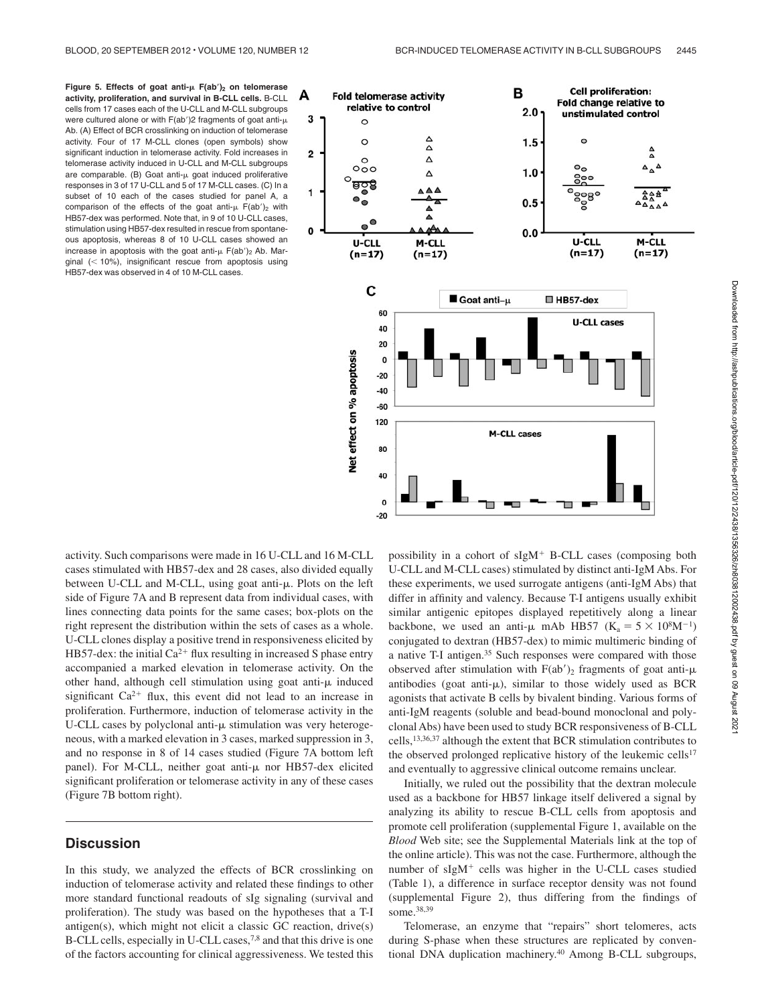**Figure 5. Effects of goat anti- F(ab)<sup>2</sup> on telomerase activity, proliferation, and survival in B-CLL cells.** B-CLL cells from 17 cases each of the U-CLL and M-CLL subgroups were cultured alone or with  $F(ab')2$  fragments of goat anti- $\mu$ Ab. (A) Effect of BCR crosslinking on induction of telomerase activity. Four of 17 M-CLL clones (open symbols) show significant induction in telomerase activity. Fold increases in telomerase activity induced in U-CLL and M-CLL subgroups are comparable. (B) Goat anti- $\mu$  goat induced proliferative responses in 3 of 17 U-CLL and 5 of 17 M-CLL cases. (C) In a subset of 10 each of the cases studied for panel A, a comparison of the effects of the goat anti- $\mu$  F(ab')<sub>2</sub> with HB57-dex was performed. Note that, in 9 of 10 U-CLL cases, stimulation using HB57-dex resulted in rescue from spontaneous apoptosis, whereas 8 of 10 U-CLL cases showed an increase in apoptosis with the goat anti- $\mu$  F(ab')<sub>2</sub> Ab. Marginal  $(< 10\%)$ , insignificant rescue from apoptosis using HB57-dex was observed in 4 of 10 M-CLL cases.



activity. Such comparisons were made in 16 U-CLL and 16 M-CLL cases stimulated with HB57-dex and 28 cases, also divided equally between U-CLL and M-CLL, using goat anti- $\mu$ . Plots on the left side of Figure 7A and B represent data from individual cases, with lines connecting data points for the same cases; box-plots on the right represent the distribution within the sets of cases as a whole. U-CLL clones display a positive trend in responsiveness elicited by HB57-dex: the initial  $Ca^{2+}$  flux resulting in increased S phase entry accompanied a marked elevation in telomerase activity. On the other hand, although cell stimulation using goat anti- $\mu$  induced significant  $Ca^{2+}$  flux, this event did not lead to an increase in proliferation. Furthermore, induction of telomerase activity in the U-CLL cases by polyclonal anti- $\mu$  stimulation was very heterogeneous, with a marked elevation in 3 cases, marked suppression in 3, and no response in 8 of 14 cases studied (Figure 7A bottom left panel). For M-CLL, neither goat anti- $\mu$  nor HB57-dex elicited significant proliferation or telomerase activity in any of these cases (Figure 7B bottom right).

### **Discussion**

In this study, we analyzed the effects of BCR crosslinking on induction of telomerase activity and related these findings to other more standard functional readouts of sIg signaling (survival and proliferation). The study was based on the hypotheses that a T-I antigen(s), which might not elicit a classic GC reaction, drive(s) B-CLL cells, especially in U-CLL cases,<sup>7,8</sup> and that this drive is one of the factors accounting for clinical aggressiveness. We tested this possibility in a cohort of  $slgM<sup>+</sup>$  B-CLL cases (composing both U-CLL and M-CLL cases) stimulated by distinct anti-IgM Abs. For these experiments, we used surrogate antigens (anti-IgM Abs) that differ in affinity and valency. Because T-I antigens usually exhibit similar antigenic epitopes displayed repetitively along a linear backbone, we used an anti- $\mu$  mAb HB57 (K<sub>a</sub> = 5  $\times$  10<sup>8</sup>M<sup>-1</sup>) conjugated to dextran (HB57-dex) to mimic multimeric binding of a native T-I antigen.<sup>35</sup> Such responses were compared with those observed after stimulation with  $F(ab')_2$  fragments of goat anti- $\mu$ antibodies (goat anti- $\mu$ ), similar to those widely used as BCR agonists that activate B cells by bivalent binding. Various forms of anti-IgM reagents (soluble and bead-bound monoclonal and polyclonal Abs) have been used to study BCR responsiveness of B-CLL cells,13,36,37 although the extent that BCR stimulation contributes to the observed prolonged replicative history of the leukemic cells<sup>17</sup> and eventually to aggressive clinical outcome remains unclear.

Initially, we ruled out the possibility that the dextran molecule used as a backbone for HB57 linkage itself delivered a signal by analyzing its ability to rescue B-CLL cells from apoptosis and promote cell proliferation (supplemental Figure 1, available on the *Blood* Web site; see the Supplemental Materials link at the top of the online article). This was not the case. Furthermore, although the number of  $slgM^+$  cells was higher in the U-CLL cases studied (Table 1), a difference in surface receptor density was not found (supplemental Figure 2), thus differing from the findings of some.38,39

Telomerase, an enzyme that "repairs" short telomeres, acts during S-phase when these structures are replicated by conventional DNA duplication machinery.<sup>40</sup> Among B-CLL subgroups,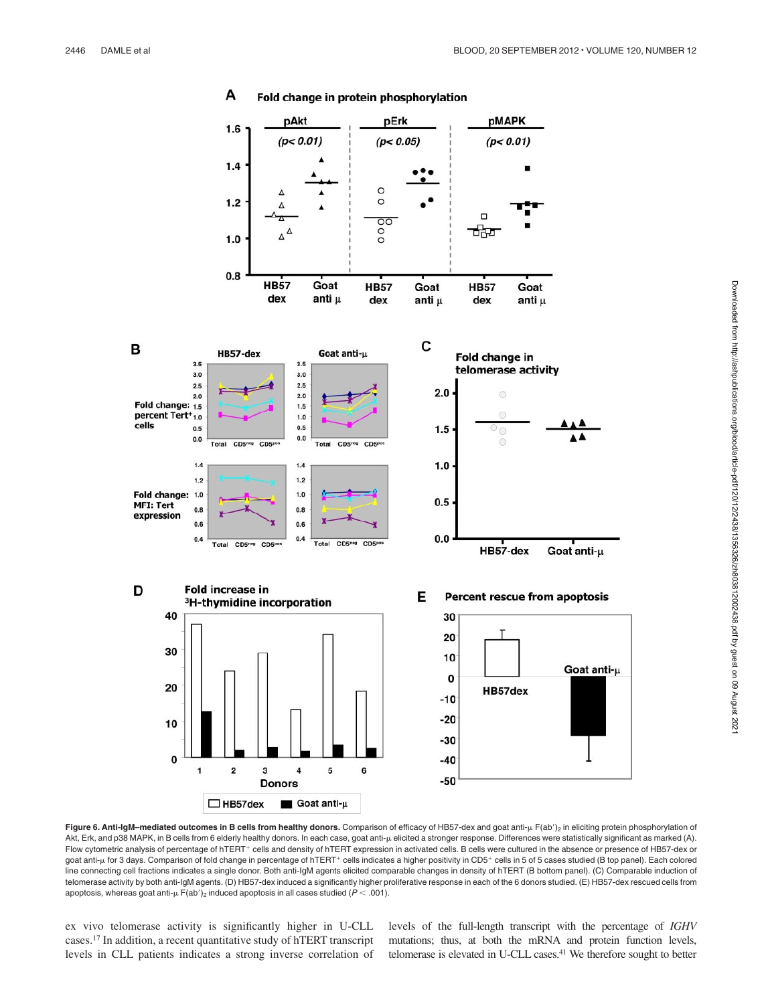

A Fold change in protein phosphorylation



ex vivo telomerase activity is significantly higher in U-CLL cases.<sup>17</sup> In addition, a recent quantitative study of hTERT transcript levels in CLL patients indicates a strong inverse correlation of

levels of the full-length transcript with the percentage of *IGHV* mutations; thus, at both the mRNA and protein function levels, telomerase is elevated in U-CLL cases.<sup>41</sup> We therefore sought to better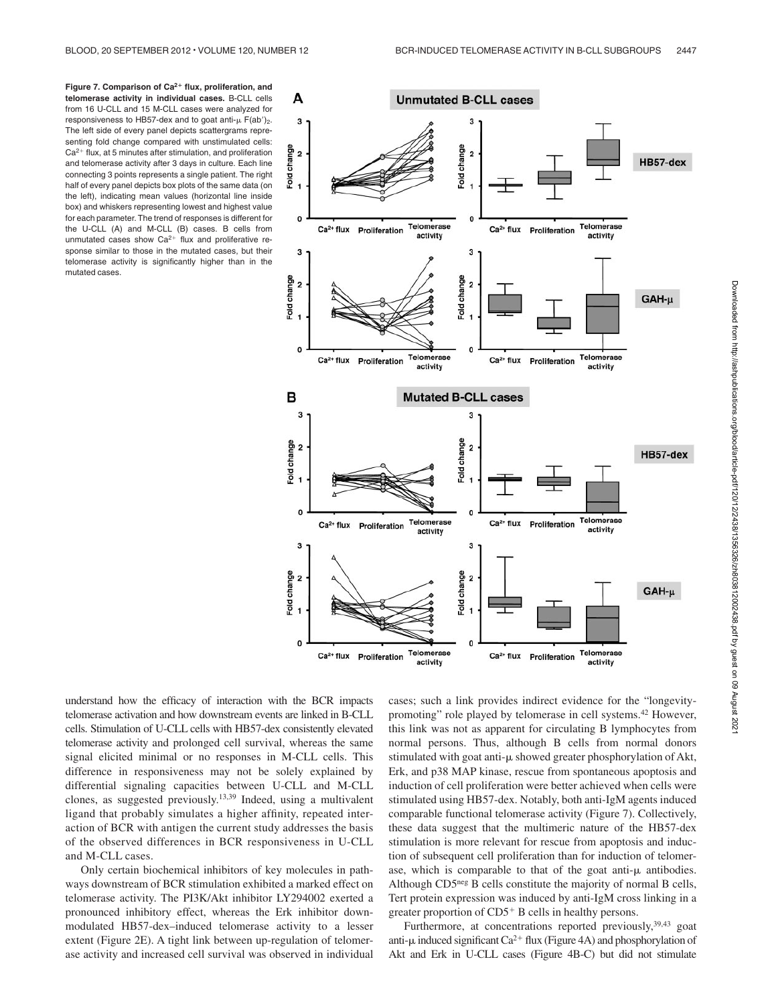**Figure 7. Comparison of Ca2**- **flux, proliferation, and telomerase activity in individual cases.** B-CLL cells from 16 U-CLL and 15 M-CLL cases were analyzed for responsiveness to HB57-dex and to goat anti- $\mu$  F(ab')<sub>2</sub>. The left side of every panel depicts scattergrams representing fold change compared with unstimulated cells:  $Ca<sup>2+</sup>$  flux, at 5 minutes after stimulation, and proliferation and telomerase activity after 3 days in culture. Each line connecting 3 points represents a single patient. The right half of every panel depicts box plots of the same data (on the left), indicating mean values (horizontal line inside box) and whiskers representing lowest and highest value for each parameter. The trend of responses is different for the U-CLL (A) and M-CLL (B) cases. B cells from unmutated cases show  $Ca^{2+}$  flux and proliferative response similar to those in the mutated cases, but their telomerase activity is significantly higher than in the mutated cases.



understand how the efficacy of interaction with the BCR impacts telomerase activation and how downstream events are linked in B-CLL cells. Stimulation of U-CLL cells with HB57-dex consistently elevated telomerase activity and prolonged cell survival, whereas the same signal elicited minimal or no responses in M-CLL cells. This difference in responsiveness may not be solely explained by differential signaling capacities between U-CLL and M-CLL clones, as suggested previously.<sup>13,39</sup> Indeed, using a multivalent ligand that probably simulates a higher affinity, repeated interaction of BCR with antigen the current study addresses the basis of the observed differences in BCR responsiveness in U-CLL and M-CLL cases.

Only certain biochemical inhibitors of key molecules in pathways downstream of BCR stimulation exhibited a marked effect on telomerase activity. The PI3K/Akt inhibitor LY294002 exerted a pronounced inhibitory effect, whereas the Erk inhibitor downmodulated HB57-dex–induced telomerase activity to a lesser extent (Figure 2E). A tight link between up-regulation of telomerase activity and increased cell survival was observed in individual

cases; such a link provides indirect evidence for the "longevitypromoting" role played by telomerase in cell systems.<sup>42</sup> However, this link was not as apparent for circulating B lymphocytes from normal persons. Thus, although B cells from normal donors stimulated with goat anti- $\mu$  showed greater phosphorylation of Akt, Erk, and p38 MAP kinase, rescue from spontaneous apoptosis and induction of cell proliferation were better achieved when cells were stimulated using HB57-dex. Notably, both anti-IgM agents induced comparable functional telomerase activity (Figure 7). Collectively, these data suggest that the multimeric nature of the HB57-dex stimulation is more relevant for rescue from apoptosis and induction of subsequent cell proliferation than for induction of telomerase, which is comparable to that of the goat anti- $\mu$  antibodies. Although CD5neg B cells constitute the majority of normal B cells, Tert protein expression was induced by anti-IgM cross linking in a greater proportion of  $CD5<sup>+</sup>$  B cells in healthy persons.

Furthermore, at concentrations reported previously, <sup>39,43</sup> goat anti- $\mu$  induced significant Ca<sup>2+</sup> flux (Figure 4A) and phosphorylation of Akt and Erk in U-CLL cases (Figure 4B-C) but did not stimulate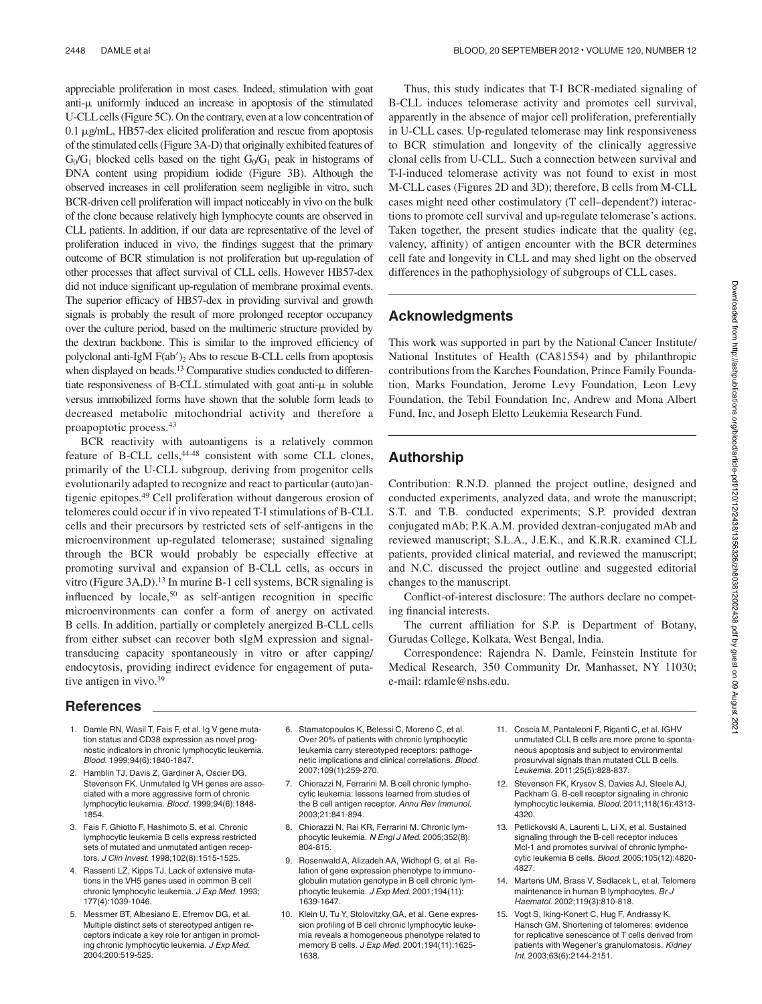appreciable proliferation in most cases. Indeed, stimulation with goat anti- $\mu$  uniformly induced an increase in apoptosis of the stimulated U-CLLcells (Figure 5C). On the contrary, even at a low concentration of  $0.1 \mu$ g/mL, HB57-dex elicited proliferation and rescue from apoptosis of the stimulated cells (Figure 3A-D) that originally exhibited features of  $G_0/G_1$  blocked cells based on the tight  $G_0/G_1$  peak in histograms of DNA content using propidium iodide (Figure 3B). Although the observed increases in cell proliferation seem negligible in vitro, such BCR-driven cell proliferation will impact noticeably in vivo on the bulk of the clone because relatively high lymphocyte counts are observed in CLL patients. In addition, if our data are representative of the level of proliferation induced in vivo, the findings suggest that the primary outcome of BCR stimulation is not proliferation but up-regulation of other processes that affect survival of CLL cells. However HB57-dex did not induce significant up-regulation of membrane proximal events. The superior efficacy of HB57-dex in providing survival and growth signals is probably the result of more prolonged receptor occupancy over the culture period, based on the multimeric structure provided by the dextran backbone. This is similar to the improved efficiency of polyclonal anti-IgM F(ab')<sub>2</sub> Abs to rescue B-CLL cells from apoptosis when displayed on beads.<sup>13</sup> Comparative studies conducted to differentiate responsiveness of B-CLL stimulated with goat anti- $\mu$  in soluble versus immobilized forms have shown that the soluble form leads to decreased metabolic mitochondrial activity and therefore a proapoptotic process.<sup>43</sup>

BCR reactivity with autoantigens is a relatively common feature of B-CLL cells,44-48 consistent with some CLL clones, primarily of the U-CLL subgroup, deriving from progenitor cells evolutionarily adapted to recognize and react to particular (auto)antigenic epitopes.<sup>49</sup> Cell proliferation without dangerous erosion of telomeres could occur if in vivo repeated T-I stimulations of B-CLL cells and their precursors by restricted sets of self-antigens in the microenvironment up-regulated telomerase; sustained signaling through the BCR would probably be especially effective at promoting survival and expansion of B-CLL cells, as occurs in vitro (Figure  $3A,D$ ).<sup>13</sup> In murine B-1 cell systems, BCR signaling is influenced by locale, $50$  as self-antigen recognition in specific microenvironments can confer a form of anergy on activated B cells. In addition, partially or completely anergized B-CLL cells from either subset can recover both sIgM expression and signaltransducing capacity spontaneously in vitro or after capping/ endocytosis, providing indirect evidence for engagement of putative antigen in vivo.<sup>39</sup>

Thus, this study indicates that T-I BCR-mediated signaling of B-CLL induces telomerase activity and promotes cell survival, apparently in the absence of major cell proliferation, preferentially in U-CLL cases. Up-regulated telomerase may link responsiveness to BCR stimulation and longevity of the clinically aggressive clonal cells from U-CLL. Such a connection between survival and T-I-induced telomerase activity was not found to exist in most M-CLL cases (Figures 2D and 3D); therefore, B cells from M-CLL cases might need other costimulatory (T cell–dependent?) interactions to promote cell survival and up-regulate telomerase's actions. Taken together, the present studies indicate that the quality (eg, valency, affinity) of antigen encounter with the BCR determines cell fate and longevity in CLL and may shed light on the observed differences in the pathophysiology of subgroups of CLL cases.

# **Acknowledgments**

This work was supported in part by the National Cancer Institute/ National Institutes of Health (CA81554) and by philanthropic contributions from the Karches Foundation, Prince Family Foundation, Marks Foundation, Jerome Levy Foundation, Leon Levy Foundation, the Tebil Foundation Inc, Andrew and Mona Albert Fund, Inc, and Joseph Eletto Leukemia Research Fund.

# **Authorship**

Contribution: R.N.D. planned the project outline, designed and conducted experiments, analyzed data, and wrote the manuscript; S.T. and T.B. conducted experiments; S.P. provided dextran conjugated mAb; P.K.A.M. provided dextran-conjugated mAb and reviewed manuscript; S.L.A., J.E.K., and K.R.R. examined CLL patients, provided clinical material, and reviewed the manuscript; and N.C. discussed the project outline and suggested editorial changes to the manuscript.

Conflict-of-interest disclosure: The authors declare no competing financial interests.

The current affiliation for S.P. is Department of Botany, Gurudas College, Kolkata, West Bengal, India.

Correspondence: Rajendra N. Damle, Feinstein Institute for Medical Research, 350 Community Dr, Manhasset, NY 11030; e-mail: rdamle@nshs.edu.

### **References**

- 1. Damle RN, Wasil T, Fais F, et al. Ig V gene mutation status and CD38 expression as novel prognostic indicators in chronic lymphocytic leukemia. Blood. 1999;94(6):1840-1847.
- 2. Hamblin TJ, Davis Z, Gardiner A, Oscier DG, Stevenson FK. Unmutated Ig VH genes are associated with a more aggressive form of chronic lymphocytic leukemia. Blood. 1999;94(6):1848- 1854.
- 3. Fais F, Ghiotto F, Hashimoto S, et al. Chronic lymphocytic leukemia B cells express restricted sets of mutated and unmutated antigen receptors. J Clin Invest. 1998;102(8):1515-1525.
- 4. Rassenti LZ, Kipps TJ. Lack of extensive mutations in the VH5 genes used in common B cell chronic lymphocytic leukemia. J Exp Med. 1993; 177(4):1039-1046.
- 5. Messmer BT, Albesiano E, Efremov DG, et al. Multiple distinct sets of stereotyped antigen receptors indicate a key role for antigen in promoting chronic lymphocytic leukemia. J Exp Med. 2004;200:519-525.
- 6. Stamatopoulos K, Belessi C, Moreno C, et al. Over 20% of patients with chronic lymphocytic leukemia carry stereotyped receptors: pathogenetic implications and clinical correlations. Blood. 2007;109(1):259-270.
- 7. Chiorazzi N, Ferrarini M. B cell chronic lymphocytic leukemia: lessons learned from studies of the B cell antigen receptor. Annu Rev Immunol. 2003;21:841-894.
- 8. Chiorazzi N, Rai KR, Ferrarini M. Chronic lymphocytic leukemia. N Engl J Med. 2005;352(8): 804-815.
- 9. Rosenwald A, Alizadeh AA, Widhopf G, et al. Relation of gene expression phenotype to immunoglobulin mutation genotype in B cell chronic lymphocytic leukemia. J Exp Med. 2001;194(11): 1639-1647.
- 10. Klein U, Tu Y, Stolovitzky GA, et al. Gene expression profiling of B cell chronic lymphocytic leukemia reveals a homogeneous phenotype related to memory B cells. J Exp Med. 2001;194(11):1625- 1638.
- 11. Coscia M, Pantaleoni F, Riganti C, et al. IGHV unmutated CLL B cells are more prone to spontaneous apoptosis and subject to environmental prosurvival signals than mutated CLL B cells. Leukemia. 2011;25(5):828-837.
- 12. Stevenson FK, Krysov S, Davies AJ, Steele AJ, Packham G. B-cell receptor signaling in chronic lymphocytic leukemia. Blood. 2011;118(16):4313- 4320.
- 13. Petlickovski A, Laurenti L, Li X, et al. Sustained signaling through the B-cell receptor induces Mcl-1 and promotes survival of chronic lymphocytic leukemia B cells. Blood. 2005;105(12):4820- 4827.
- 14. Martens UM, Brass V, Sedlacek L, et al. Telomere maintenance in human B lymphocytes. Br J Haematol. 2002;119(3):810-818.
- 15. Vogt S, Iking-Konert C, Hug F, Andrassy K, Hansch GM. Shortening of telomeres: evidence for replicative senescence of T cells derived from patients with Wegener's granulomatosis. Kidney Int. 2003;63(6):2144-2151.